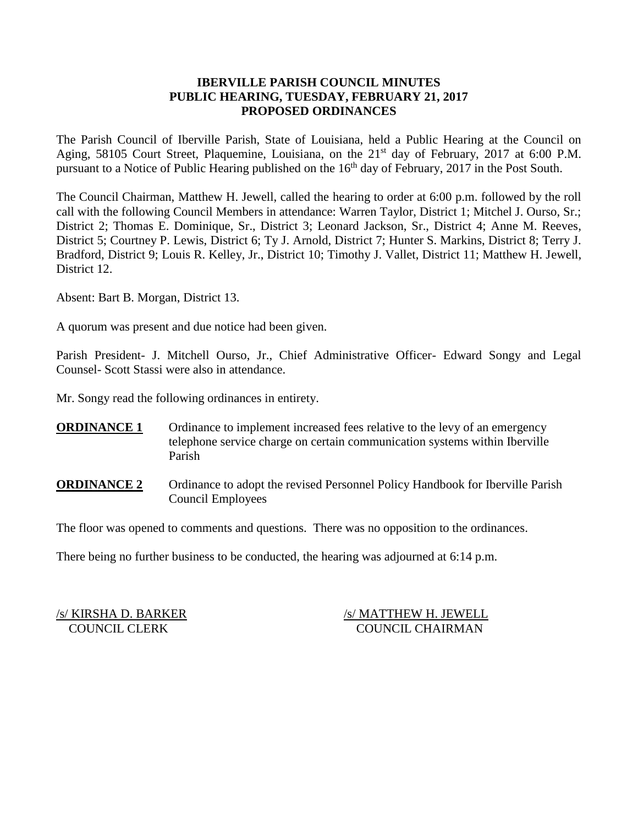### **IBERVILLE PARISH COUNCIL MINUTES PUBLIC HEARING, TUESDAY, FEBRUARY 21, 2017 PROPOSED ORDINANCES**

The Parish Council of Iberville Parish, State of Louisiana, held a Public Hearing at the Council on Aging, 58105 Court Street, Plaquemine, Louisiana, on the 21<sup>st</sup> day of February, 2017 at 6:00 P.M. pursuant to a Notice of Public Hearing published on the 16<sup>th</sup> day of February, 2017 in the Post South.

The Council Chairman, Matthew H. Jewell, called the hearing to order at 6:00 p.m. followed by the roll call with the following Council Members in attendance: Warren Taylor, District 1; Mitchel J. Ourso, Sr.; District 2; Thomas E. Dominique, Sr., District 3; Leonard Jackson, Sr., District 4; Anne M. Reeves, District 5; Courtney P. Lewis, District 6; Ty J. Arnold, District 7; Hunter S. Markins, District 8; Terry J. Bradford, District 9; Louis R. Kelley, Jr., District 10; Timothy J. Vallet, District 11; Matthew H. Jewell, District 12.

Absent: Bart B. Morgan, District 13.

A quorum was present and due notice had been given.

Parish President- J. Mitchell Ourso, Jr., Chief Administrative Officer- Edward Songy and Legal Counsel- Scott Stassi were also in attendance.

Mr. Songy read the following ordinances in entirety.

- **ORDINANCE 1** Ordinance to implement increased fees relative to the levy of an emergency telephone service charge on certain communication systems within Iberville Parish
- **ORDINANCE 2** Ordinance to adopt the revised Personnel Policy Handbook for Iberville Parish Council Employees

The floor was opened to comments and questions. There was no opposition to the ordinances.

There being no further business to be conducted, the hearing was adjourned at 6:14 p.m.

/s/ KIRSHA D. BARKER /s/ MATTHEW H. JEWELL COUNCIL CLERK COUNCIL CHAIRMAN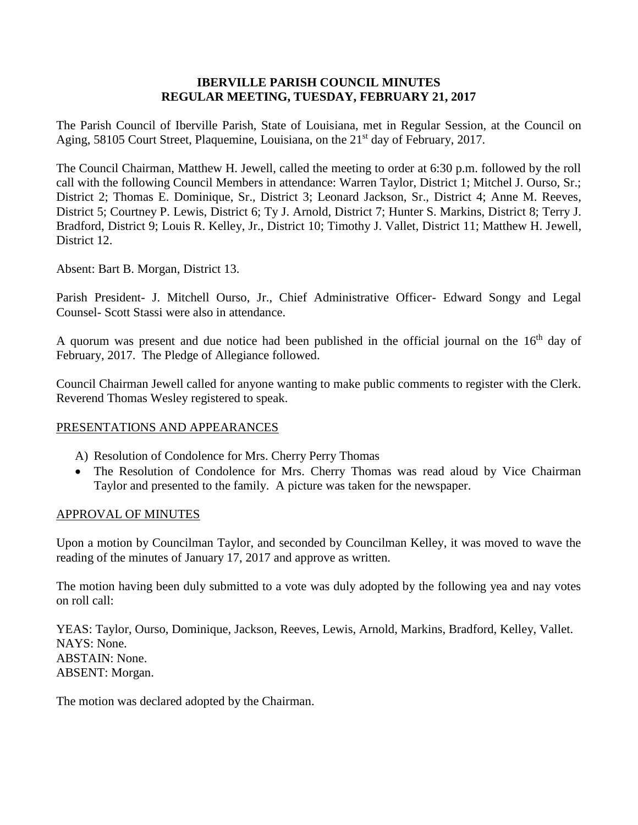### **IBERVILLE PARISH COUNCIL MINUTES REGULAR MEETING, TUESDAY, FEBRUARY 21, 2017**

The Parish Council of Iberville Parish, State of Louisiana, met in Regular Session, at the Council on Aging, 58105 Court Street, Plaquemine, Louisiana, on the 21<sup>st</sup> day of February, 2017.

The Council Chairman, Matthew H. Jewell, called the meeting to order at 6:30 p.m. followed by the roll call with the following Council Members in attendance: Warren Taylor, District 1; Mitchel J. Ourso, Sr.; District 2; Thomas E. Dominique, Sr., District 3; Leonard Jackson, Sr., District 4; Anne M. Reeves, District 5; Courtney P. Lewis, District 6; Ty J. Arnold, District 7; Hunter S. Markins, District 8; Terry J. Bradford, District 9; Louis R. Kelley, Jr., District 10; Timothy J. Vallet, District 11; Matthew H. Jewell, District 12.

Absent: Bart B. Morgan, District 13.

Parish President- J. Mitchell Ourso, Jr., Chief Administrative Officer- Edward Songy and Legal Counsel- Scott Stassi were also in attendance.

A quorum was present and due notice had been published in the official journal on the 16<sup>th</sup> day of February, 2017. The Pledge of Allegiance followed.

Council Chairman Jewell called for anyone wanting to make public comments to register with the Clerk. Reverend Thomas Wesley registered to speak.

### PRESENTATIONS AND APPEARANCES

- A) Resolution of Condolence for Mrs. Cherry Perry Thomas
- The Resolution of Condolence for Mrs. Cherry Thomas was read aloud by Vice Chairman Taylor and presented to the family. A picture was taken for the newspaper.

#### APPROVAL OF MINUTES

Upon a motion by Councilman Taylor, and seconded by Councilman Kelley, it was moved to wave the reading of the minutes of January 17, 2017 and approve as written.

The motion having been duly submitted to a vote was duly adopted by the following yea and nay votes on roll call:

YEAS: Taylor, Ourso, Dominique, Jackson, Reeves, Lewis, Arnold, Markins, Bradford, Kelley, Vallet. NAYS: None. ABSTAIN: None. ABSENT: Morgan.

The motion was declared adopted by the Chairman.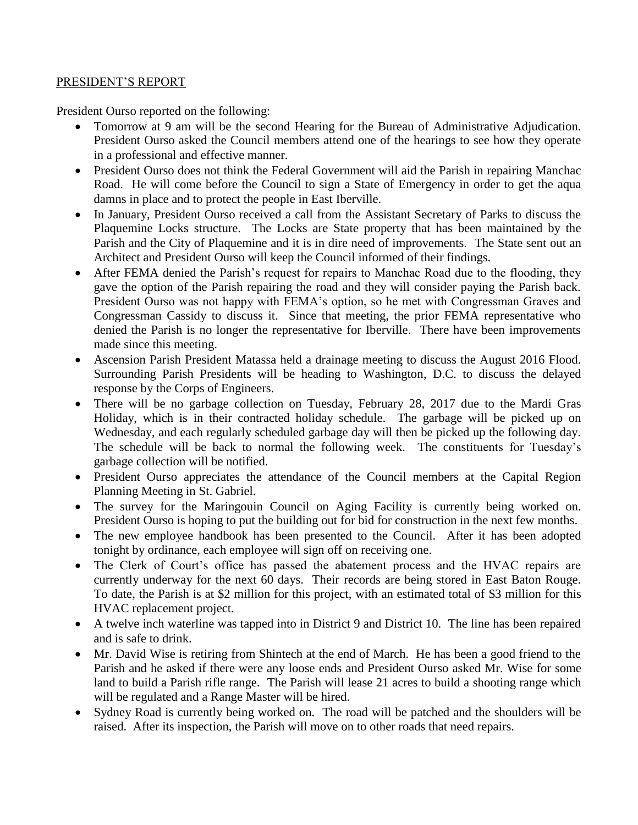### PRESIDENT'S REPORT

President Ourso reported on the following:

- Tomorrow at 9 am will be the second Hearing for the Bureau of Administrative Adjudication. President Ourso asked the Council members attend one of the hearings to see how they operate in a professional and effective manner.
- President Ourso does not think the Federal Government will aid the Parish in repairing Manchac Road. He will come before the Council to sign a State of Emergency in order to get the aqua damns in place and to protect the people in East Iberville.
- In January, President Ourso received a call from the Assistant Secretary of Parks to discuss the Plaquemine Locks structure. The Locks are State property that has been maintained by the Parish and the City of Plaquemine and it is in dire need of improvements. The State sent out an Architect and President Ourso will keep the Council informed of their findings.
- After FEMA denied the Parish's request for repairs to Manchac Road due to the flooding, they gave the option of the Parish repairing the road and they will consider paying the Parish back. President Ourso was not happy with FEMA's option, so he met with Congressman Graves and Congressman Cassidy to discuss it. Since that meeting, the prior FEMA representative who denied the Parish is no longer the representative for Iberville. There have been improvements made since this meeting.
- Ascension Parish President Matassa held a drainage meeting to discuss the August 2016 Flood. Surrounding Parish Presidents will be heading to Washington, D.C. to discuss the delayed response by the Corps of Engineers.
- There will be no garbage collection on Tuesday, February 28, 2017 due to the Mardi Gras Holiday, which is in their contracted holiday schedule. The garbage will be picked up on Wednesday, and each regularly scheduled garbage day will then be picked up the following day. The schedule will be back to normal the following week. The constituents for Tuesday's garbage collection will be notified.
- President Ourso appreciates the attendance of the Council members at the Capital Region Planning Meeting in St. Gabriel.
- The survey for the Maringouin Council on Aging Facility is currently being worked on. President Ourso is hoping to put the building out for bid for construction in the next few months.
- The new employee handbook has been presented to the Council. After it has been adopted tonight by ordinance, each employee will sign off on receiving one.
- The Clerk of Court's office has passed the abatement process and the HVAC repairs are currently underway for the next 60 days. Their records are being stored in East Baton Rouge. To date, the Parish is at \$2 million for this project, with an estimated total of \$3 million for this HVAC replacement project.
- A twelve inch waterline was tapped into in District 9 and District 10. The line has been repaired and is safe to drink.
- Mr. David Wise is retiring from Shintech at the end of March. He has been a good friend to the Parish and he asked if there were any loose ends and President Ourso asked Mr. Wise for some land to build a Parish rifle range. The Parish will lease 21 acres to build a shooting range which will be regulated and a Range Master will be hired.
- Sydney Road is currently being worked on. The road will be patched and the shoulders will be raised. After its inspection, the Parish will move on to other roads that need repairs.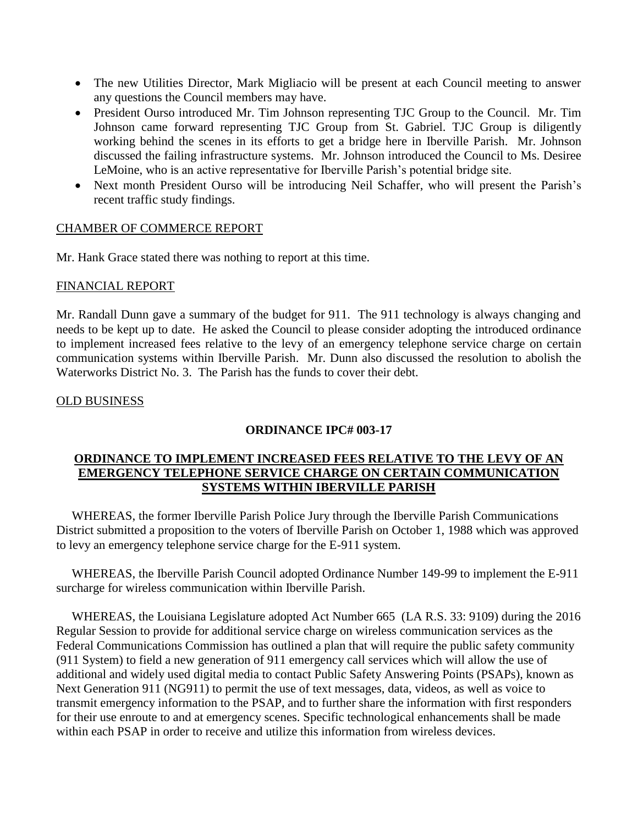- The new Utilities Director, Mark Migliacio will be present at each Council meeting to answer any questions the Council members may have.
- President Ourso introduced Mr. Tim Johnson representing TJC Group to the Council. Mr. Tim Johnson came forward representing TJC Group from St. Gabriel. TJC Group is diligently working behind the scenes in its efforts to get a bridge here in Iberville Parish. Mr. Johnson discussed the failing infrastructure systems. Mr. Johnson introduced the Council to Ms. Desiree LeMoine, who is an active representative for Iberville Parish's potential bridge site.
- Next month President Ourso will be introducing Neil Schaffer, who will present the Parish's recent traffic study findings.

### CHAMBER OF COMMERCE REPORT

Mr. Hank Grace stated there was nothing to report at this time.

#### FINANCIAL REPORT

Mr. Randall Dunn gave a summary of the budget for 911. The 911 technology is always changing and needs to be kept up to date. He asked the Council to please consider adopting the introduced ordinance to implement increased fees relative to the levy of an emergency telephone service charge on certain communication systems within Iberville Parish. Mr. Dunn also discussed the resolution to abolish the Waterworks District No. 3. The Parish has the funds to cover their debt.

#### OLD BUSINESS

### **ORDINANCE IPC# 003-17**

### **ORDINANCE TO IMPLEMENT INCREASED FEES RELATIVE TO THE LEVY OF AN EMERGENCY TELEPHONE SERVICE CHARGE ON CERTAIN COMMUNICATION SYSTEMS WITHIN IBERVILLE PARISH**

 WHEREAS, the former Iberville Parish Police Jury through the Iberville Parish Communications District submitted a proposition to the voters of Iberville Parish on October 1, 1988 which was approved to levy an emergency telephone service charge for the E-911 system.

 WHEREAS, the Iberville Parish Council adopted Ordinance Number 149-99 to implement the E-911 surcharge for wireless communication within Iberville Parish.

 WHEREAS, the Louisiana Legislature adopted Act Number 665 (LA R.S. 33: 9109) during the 2016 Regular Session to provide for additional service charge on wireless communication services as the Federal Communications Commission has outlined a plan that will require the public safety community (911 System) to field a new generation of 911 emergency call services which will allow the use of additional and widely used digital media to contact Public Safety Answering Points (PSAPs), known as Next Generation 911 (NG911) to permit the use of text messages, data, videos, as well as voice to transmit emergency information to the PSAP, and to further share the information with first responders for their use enroute to and at emergency scenes. Specific technological enhancements shall be made within each PSAP in order to receive and utilize this information from wireless devices.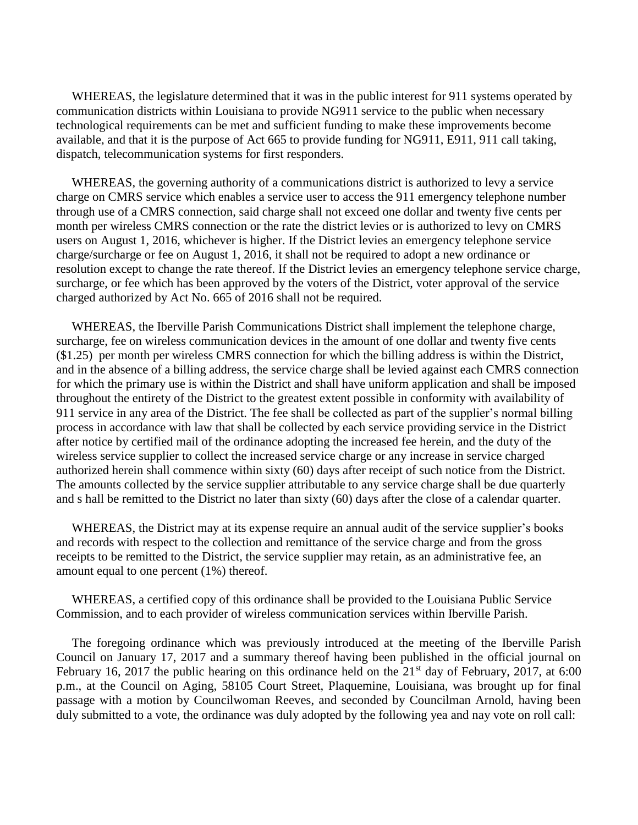WHEREAS, the legislature determined that it was in the public interest for 911 systems operated by communication districts within Louisiana to provide NG911 service to the public when necessary technological requirements can be met and sufficient funding to make these improvements become available, and that it is the purpose of Act 665 to provide funding for NG911, E911, 911 call taking, dispatch, telecommunication systems for first responders.

 WHEREAS, the governing authority of a communications district is authorized to levy a service charge on CMRS service which enables a service user to access the 911 emergency telephone number through use of a CMRS connection, said charge shall not exceed one dollar and twenty five cents per month per wireless CMRS connection or the rate the district levies or is authorized to levy on CMRS users on August 1, 2016, whichever is higher. If the District levies an emergency telephone service charge/surcharge or fee on August 1, 2016, it shall not be required to adopt a new ordinance or resolution except to change the rate thereof. If the District levies an emergency telephone service charge, surcharge, or fee which has been approved by the voters of the District, voter approval of the service charged authorized by Act No. 665 of 2016 shall not be required.

 WHEREAS, the Iberville Parish Communications District shall implement the telephone charge, surcharge, fee on wireless communication devices in the amount of one dollar and twenty five cents (\$1.25) per month per wireless CMRS connection for which the billing address is within the District, and in the absence of a billing address, the service charge shall be levied against each CMRS connection for which the primary use is within the District and shall have uniform application and shall be imposed throughout the entirety of the District to the greatest extent possible in conformity with availability of 911 service in any area of the District. The fee shall be collected as part of the supplier's normal billing process in accordance with law that shall be collected by each service providing service in the District after notice by certified mail of the ordinance adopting the increased fee herein, and the duty of the wireless service supplier to collect the increased service charge or any increase in service charged authorized herein shall commence within sixty (60) days after receipt of such notice from the District. The amounts collected by the service supplier attributable to any service charge shall be due quarterly and s hall be remitted to the District no later than sixty (60) days after the close of a calendar quarter.

 WHEREAS, the District may at its expense require an annual audit of the service supplier's books and records with respect to the collection and remittance of the service charge and from the gross receipts to be remitted to the District, the service supplier may retain, as an administrative fee, an amount equal to one percent (1%) thereof.

 WHEREAS, a certified copy of this ordinance shall be provided to the Louisiana Public Service Commission, and to each provider of wireless communication services within Iberville Parish.

 The foregoing ordinance which was previously introduced at the meeting of the Iberville Parish Council on January 17, 2017 and a summary thereof having been published in the official journal on February 16, 2017 the public hearing on this ordinance held on the  $21<sup>st</sup>$  day of February, 2017, at 6:00 p.m., at the Council on Aging, 58105 Court Street, Plaquemine, Louisiana, was brought up for final passage with a motion by Councilwoman Reeves, and seconded by Councilman Arnold, having been duly submitted to a vote, the ordinance was duly adopted by the following yea and nay vote on roll call: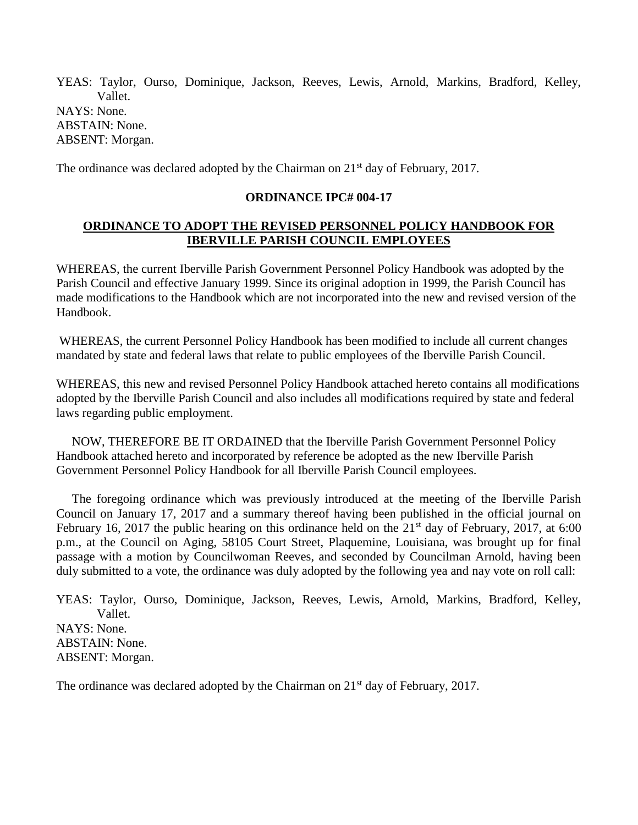YEAS: Taylor, Ourso, Dominique, Jackson, Reeves, Lewis, Arnold, Markins, Bradford, Kelley, Vallet. NAYS: None. ABSTAIN: None. ABSENT: Morgan.

The ordinance was declared adopted by the Chairman on  $21<sup>st</sup>$  day of February, 2017.

### **ORDINANCE IPC# 004-17**

## **ORDINANCE TO ADOPT THE REVISED PERSONNEL POLICY HANDBOOK FOR IBERVILLE PARISH COUNCIL EMPLOYEES**

WHEREAS, the current Iberville Parish Government Personnel Policy Handbook was adopted by the Parish Council and effective January 1999. Since its original adoption in 1999, the Parish Council has made modifications to the Handbook which are not incorporated into the new and revised version of the Handbook.

WHEREAS, the current Personnel Policy Handbook has been modified to include all current changes mandated by state and federal laws that relate to public employees of the Iberville Parish Council.

WHEREAS, this new and revised Personnel Policy Handbook attached hereto contains all modifications adopted by the Iberville Parish Council and also includes all modifications required by state and federal laws regarding public employment.

 NOW, THEREFORE BE IT ORDAINED that the Iberville Parish Government Personnel Policy Handbook attached hereto and incorporated by reference be adopted as the new Iberville Parish Government Personnel Policy Handbook for all Iberville Parish Council employees.

 The foregoing ordinance which was previously introduced at the meeting of the Iberville Parish Council on January 17, 2017 and a summary thereof having been published in the official journal on February 16, 2017 the public hearing on this ordinance held on the  $21<sup>st</sup>$  day of February, 2017, at 6:00 p.m., at the Council on Aging, 58105 Court Street, Plaquemine, Louisiana, was brought up for final passage with a motion by Councilwoman Reeves, and seconded by Councilman Arnold, having been duly submitted to a vote, the ordinance was duly adopted by the following yea and nay vote on roll call:

YEAS: Taylor, Ourso, Dominique, Jackson, Reeves, Lewis, Arnold, Markins, Bradford, Kelley, Vallet. NAYS: None. ABSTAIN: None. ABSENT: Morgan.

The ordinance was declared adopted by the Chairman on 21<sup>st</sup> day of February, 2017.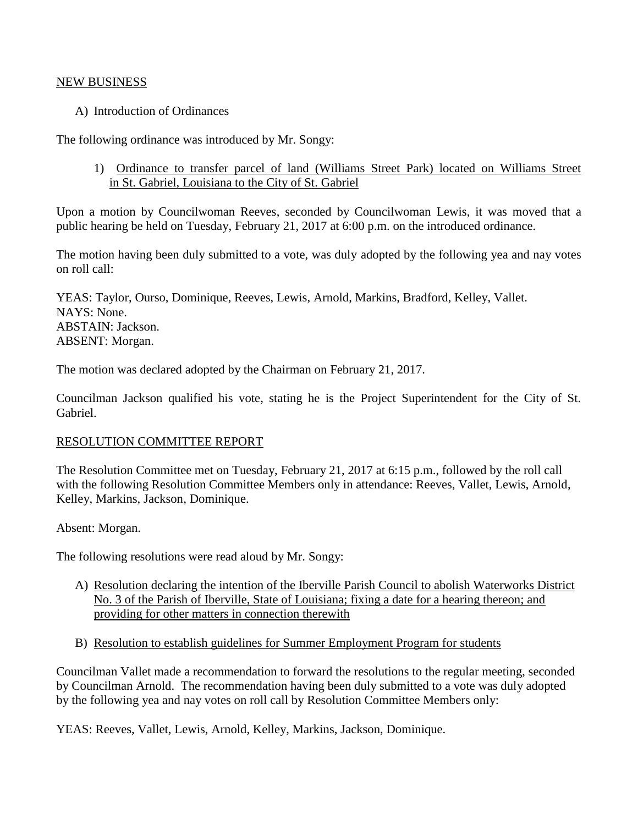#### NEW BUSINESS

### A) Introduction of Ordinances

The following ordinance was introduced by Mr. Songy:

1) Ordinance to transfer parcel of land (Williams Street Park) located on Williams Street in St. Gabriel, Louisiana to the City of St. Gabriel

Upon a motion by Councilwoman Reeves, seconded by Councilwoman Lewis, it was moved that a public hearing be held on Tuesday, February 21, 2017 at 6:00 p.m. on the introduced ordinance.

The motion having been duly submitted to a vote, was duly adopted by the following yea and nay votes on roll call:

YEAS: Taylor, Ourso, Dominique, Reeves, Lewis, Arnold, Markins, Bradford, Kelley, Vallet. NAYS: None. ABSTAIN: Jackson. ABSENT: Morgan.

The motion was declared adopted by the Chairman on February 21, 2017.

Councilman Jackson qualified his vote, stating he is the Project Superintendent for the City of St. Gabriel.

### RESOLUTION COMMITTEE REPORT

The Resolution Committee met on Tuesday, February 21, 2017 at 6:15 p.m., followed by the roll call with the following Resolution Committee Members only in attendance: Reeves, Vallet, Lewis, Arnold, Kelley, Markins, Jackson, Dominique.

Absent: Morgan.

The following resolutions were read aloud by Mr. Songy:

- A) Resolution declaring the intention of the Iberville Parish Council to abolish Waterworks District No. 3 of the Parish of Iberville, State of Louisiana; fixing a date for a hearing thereon; and providing for other matters in connection therewith
- B) Resolution to establish guidelines for Summer Employment Program for students

Councilman Vallet made a recommendation to forward the resolutions to the regular meeting, seconded by Councilman Arnold. The recommendation having been duly submitted to a vote was duly adopted by the following yea and nay votes on roll call by Resolution Committee Members only:

YEAS: Reeves, Vallet, Lewis, Arnold, Kelley, Markins, Jackson, Dominique.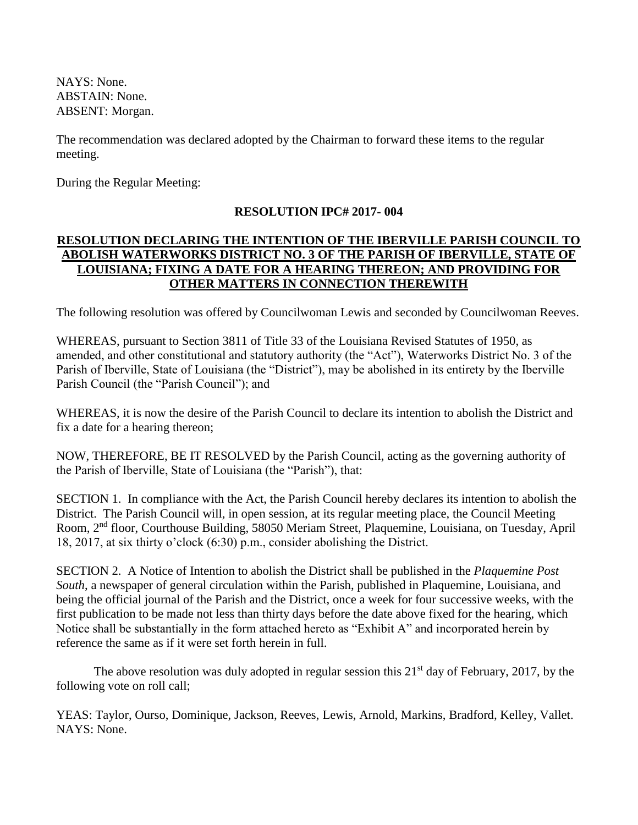NAYS: None. ABSTAIN: None. ABSENT: Morgan.

The recommendation was declared adopted by the Chairman to forward these items to the regular meeting.

During the Regular Meeting:

# **RESOLUTION IPC# 2017- 004**

## **RESOLUTION DECLARING THE INTENTION OF THE IBERVILLE PARISH COUNCIL TO ABOLISH WATERWORKS DISTRICT NO. 3 OF THE PARISH OF IBERVILLE, STATE OF LOUISIANA; FIXING A DATE FOR A HEARING THEREON; AND PROVIDING FOR OTHER MATTERS IN CONNECTION THEREWITH**

The following resolution was offered by Councilwoman Lewis and seconded by Councilwoman Reeves.

WHEREAS, pursuant to Section 3811 of Title 33 of the Louisiana Revised Statutes of 1950, as amended, and other constitutional and statutory authority (the "Act"), Waterworks District No. 3 of the Parish of Iberville, State of Louisiana (the "District"), may be abolished in its entirety by the Iberville Parish Council (the "Parish Council"); and

WHEREAS, it is now the desire of the Parish Council to declare its intention to abolish the District and fix a date for a hearing thereon;

NOW, THEREFORE, BE IT RESOLVED by the Parish Council, acting as the governing authority of the Parish of Iberville, State of Louisiana (the "Parish"), that:

SECTION 1. In compliance with the Act, the Parish Council hereby declares its intention to abolish the District. The Parish Council will, in open session, at its regular meeting place, the Council Meeting Room, 2nd floor, Courthouse Building, 58050 Meriam Street, Plaquemine, Louisiana, on Tuesday, April 18, 2017, at six thirty o'clock (6:30) p.m., consider abolishing the District.

SECTION 2. A Notice of Intention to abolish the District shall be published in the *Plaquemine Post South*, a newspaper of general circulation within the Parish, published in Plaquemine, Louisiana, and being the official journal of the Parish and the District, once a week for four successive weeks, with the first publication to be made not less than thirty days before the date above fixed for the hearing, which Notice shall be substantially in the form attached hereto as "Exhibit A" and incorporated herein by reference the same as if it were set forth herein in full.

The above resolution was duly adopted in regular session this  $21<sup>st</sup>$  day of February, 2017, by the following vote on roll call;

YEAS: Taylor, Ourso, Dominique, Jackson, Reeves, Lewis, Arnold, Markins, Bradford, Kelley, Vallet. NAYS: None.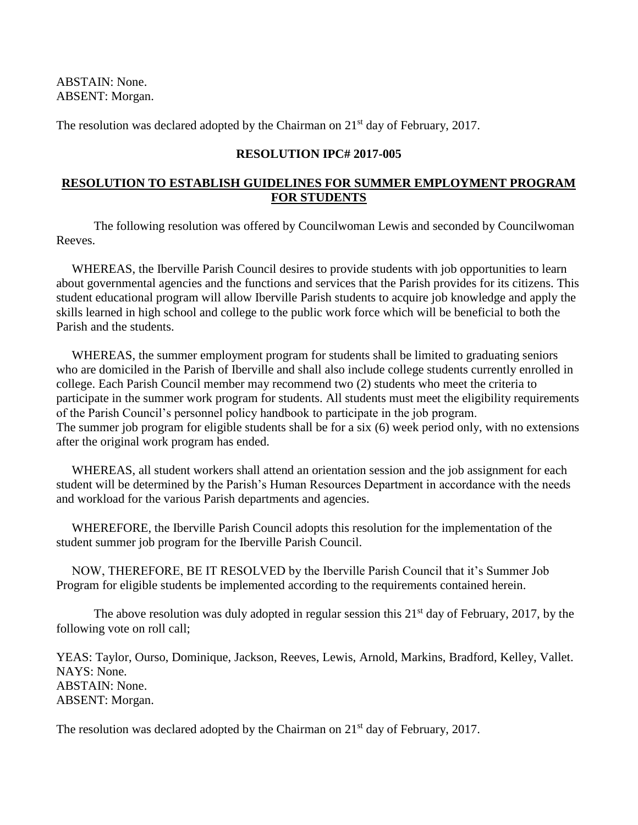ABSTAIN: None. ABSENT: Morgan.

The resolution was declared adopted by the Chairman on 21<sup>st</sup> day of February, 2017.

## **RESOLUTION IPC# 2017-005**

# **RESOLUTION TO ESTABLISH GUIDELINES FOR SUMMER EMPLOYMENT PROGRAM FOR STUDENTS**

The following resolution was offered by Councilwoman Lewis and seconded by Councilwoman Reeves.

 WHEREAS, the Iberville Parish Council desires to provide students with job opportunities to learn about governmental agencies and the functions and services that the Parish provides for its citizens. This student educational program will allow Iberville Parish students to acquire job knowledge and apply the skills learned in high school and college to the public work force which will be beneficial to both the Parish and the students.

 WHEREAS, the summer employment program for students shall be limited to graduating seniors who are domiciled in the Parish of Iberville and shall also include college students currently enrolled in college. Each Parish Council member may recommend two (2) students who meet the criteria to participate in the summer work program for students. All students must meet the eligibility requirements of the Parish Council's personnel policy handbook to participate in the job program. The summer job program for eligible students shall be for a six (6) week period only, with no extensions after the original work program has ended.

 WHEREAS, all student workers shall attend an orientation session and the job assignment for each student will be determined by the Parish's Human Resources Department in accordance with the needs and workload for the various Parish departments and agencies.

 WHEREFORE, the Iberville Parish Council adopts this resolution for the implementation of the student summer job program for the Iberville Parish Council.

 NOW, THEREFORE, BE IT RESOLVED by the Iberville Parish Council that it's Summer Job Program for eligible students be implemented according to the requirements contained herein.

The above resolution was duly adopted in regular session this  $21<sup>st</sup>$  day of February, 2017, by the following vote on roll call;

YEAS: Taylor, Ourso, Dominique, Jackson, Reeves, Lewis, Arnold, Markins, Bradford, Kelley, Vallet. NAYS: None. ABSTAIN: None. ABSENT: Morgan.

The resolution was declared adopted by the Chairman on 21<sup>st</sup> day of February, 2017.